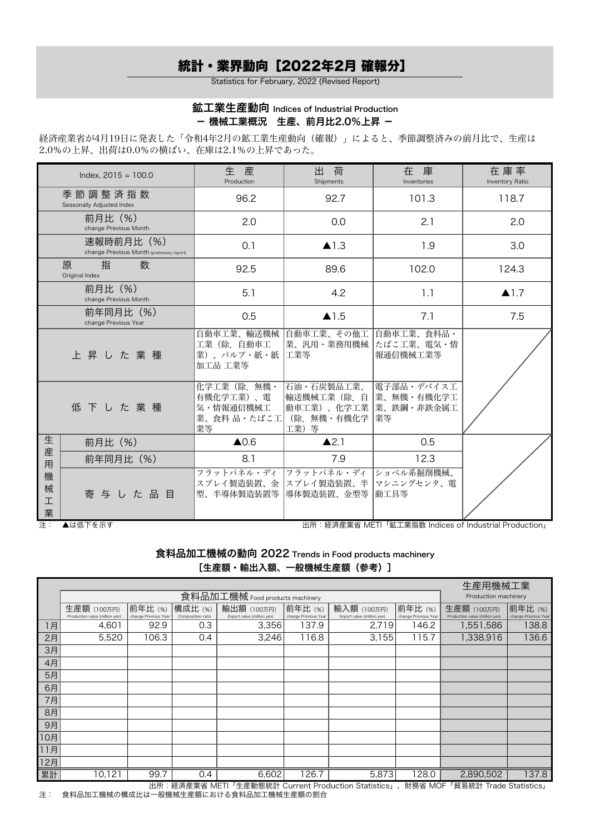## 統計・業界動向[2022年2月 確報分]

Statistics for February, 2022 (Revised Report)

## 鉱工業生産動向 Indices of Industrial Production - 機械工業概況 生産、前月比2.0%上昇 -

経済産業省が4月19日に発表した「令和4年2月の鉱工業生産動向(確報)」によると、季節調整済みの前月比で、生産は 2.0%の上昇、出荷は0.0%の横ばい、在庫は2.1%の上昇であった。

|                  | Index. $2015 = 100.0$                                    | 生<br>産<br>Production                                        | 荷<br>出<br>Shipments                                              | 在庫<br>Inventories                              | 在庫率<br>Inventory Ratio |
|------------------|----------------------------------------------------------|-------------------------------------------------------------|------------------------------------------------------------------|------------------------------------------------|------------------------|
|                  | 季 節 調 整 済 指 数<br>Seasonally Adjusted Index               | 96.2                                                        | 92.7                                                             | 101.3                                          | 118.7                  |
|                  | 前月比 (%)<br>change Previous Month                         | 2.0                                                         | 0.0                                                              | 2.1                                            | 2.0                    |
|                  | 速報時前月比 (%)<br>change Previous Month (preliminary report) | 0.1                                                         | $\blacktriangle$ 1.3                                             | 1.9                                            | 3.0                    |
|                  | 指<br>数<br>原<br>Original Index                            | 92.5                                                        | 89.6                                                             | 102.0                                          | 124.3                  |
|                  | 前月比(%)<br>change Previous Month                          | 5.1                                                         | 4.2                                                              | 1.1                                            | $\blacktriangle$ 1.7   |
|                  | 前年同月比 (%)<br>change Previous Year                        | 0.5                                                         | $\blacktriangle$ 1.5                                             | 7.1                                            | 7.5                    |
|                  | 上昇した業種                                                   | 自動車工業、輸送機械 自動車工業、その他工<br>工業(除.自動車工<br>業)、パルプ・紙・紙<br>加工品 工業等 | 業、汎用・業務用機械<br> 工業等                                               | 自動車工業、食料品・<br> たばこ工業、電気・情<br>報通信機械工業等          |                        |
|                  | 低下した業種                                                   | 化学工業 (除. 無機・<br>有機化学工業)、電<br>気·情報通信機械工<br>業、食料品·たばこ工<br>業等  | 石油・石炭製品工業、<br>輸送機械工業 (除. 自<br>動車工業)、化学工業<br>(除. 無機・有機化学<br>工業) 等 | 電子部品・デバイス工<br>業、無機・有機化学工<br> 業、鉄鋼・非鉄金属工<br> 業等 |                        |
| 生                | 前月比 (%)                                                  | $\triangle$ 0.6                                             | $\blacktriangle$ 2.1                                             | 0.5                                            |                        |
| 産<br>用           | 前年同月比 (%)                                                | 8.1                                                         | 7.9                                                              | 12.3                                           |                        |
| 機<br>械<br>工<br>業 | 寄与した品目                                                   | フラットパネル・ディ<br>型、半導体製造装置等                                    | フラットパネル・ディ<br>スプレイ製造装置、金 スプレイ製造装置、半 マシニングセンタ、電<br>導体製造装置、金型等     | ショベル系掘削機械、<br> 動工具等                            |                        |

注: ▲は低下を示す 出所:経済産業省 METI「鉱工業指数 Indices of Industrial Production」

食料品加工機械の動向 2022 Trends in Food products machinery [生産額・輸出入額、一般機械生産額(参考)]

|     | 生産用機械工業<br>食料品加工機械 Food products machinery |                      |                   |                            |                      |                            |                      |                                |                      |  |  |
|-----|--------------------------------------------|----------------------|-------------------|----------------------------|----------------------|----------------------------|----------------------|--------------------------------|----------------------|--|--|
|     |                                            | Production machinery |                   |                            |                      |                            |                      |                                |                      |  |  |
|     | 生産額 (100万円)                                | 前年比(%)               | 構成比 (%)           | 輸出額 (100万円)                | 前年比(%)               | 前年比(%)<br>輸入額 (100万円)      |                      | 生産額 (100万円)                    | 前年比(%)               |  |  |
|     | Production value (million yen)             | change Previous Year | Composition ratio | Export value (million yen) | change Previous Year | Import value (million yen) | change Previous Year | Production value (million yen) | change Previous Year |  |  |
| 1月  | 4,601                                      | 92.9                 | 0.3               | 3,356                      | 137.9                | 2,719                      | 146.2                | 1,551,586                      | 138.8                |  |  |
| 2月  | 5,520                                      | 106.3                | 0.4               | 3,246                      | 116.8                | 3,155                      | 115.7                | 1,338,916                      | 136.6                |  |  |
| 3月  |                                            |                      |                   |                            |                      |                            |                      |                                |                      |  |  |
| 4月  |                                            |                      |                   |                            |                      |                            |                      |                                |                      |  |  |
| 5月  |                                            |                      |                   |                            |                      |                            |                      |                                |                      |  |  |
| 6月  |                                            |                      |                   |                            |                      |                            |                      |                                |                      |  |  |
| 7月  |                                            |                      |                   |                            |                      |                            |                      |                                |                      |  |  |
| 8月  |                                            |                      |                   |                            |                      |                            |                      |                                |                      |  |  |
| 9月  |                                            |                      |                   |                            |                      |                            |                      |                                |                      |  |  |
| 10月 |                                            |                      |                   |                            |                      |                            |                      |                                |                      |  |  |
| 11月 |                                            |                      |                   |                            |                      |                            |                      |                                |                      |  |  |
| 12月 |                                            |                      |                   |                            |                      |                            |                      |                                |                      |  |  |
| 累計  | 10,121                                     | 99.7                 | 0.4               | 6,602                      | $\overline{26.7}$    | 5,873                      | 128.0                | 2,890,502                      | 137.8                |  |  |

出所:経済産業省 METI「生産動態統計 Current Production Statistics」、財務省 MOF「貿易統計 Trade Statistics」 注: 食料品加工機械の構成比は一般機械生産額における食料品加工機械生産額の割合